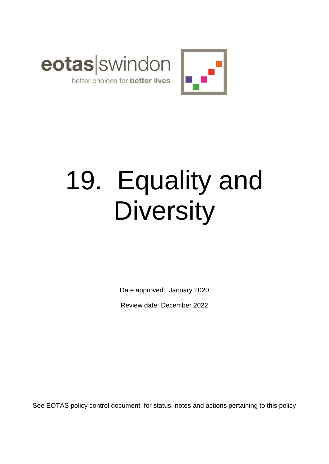



# 19. Equality and **Diversity**

Date approved: January 2020 Review date: December 2022

See EOTAS policy control document for status, notes and actions pertaining to this policy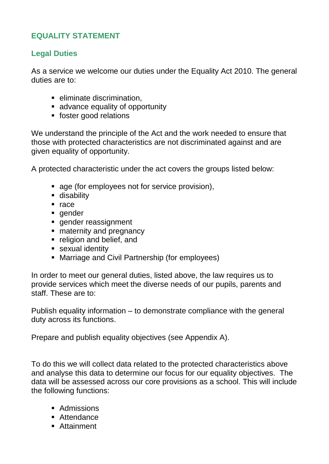# **EQUALITY STATEMENT**

# **Legal Duties**

As a service we welcome our duties under the Equality Act 2010. The general duties are to:

- **E** eliminate discrimination,
- advance equality of opportunity
- **foster good relations**

We understand the principle of the Act and the work needed to ensure that those with protected characteristics are not discriminated against and are given equality of opportunity.

A protected characteristic under the act covers the groups listed below:

- **age (for employees not for service provision),**
- **disability**
- $rac{e}{2}$
- gender
- **qender reassignment**
- maternity and pregnancy
- **religion and belief, and**
- **sexual identity**
- Marriage and Civil Partnership (for employees)

In order to meet our general duties, listed above, the law requires us to provide services which meet the diverse needs of our pupils, parents and staff. These are to:

Publish equality information – to demonstrate compliance with the general duty across its functions.

Prepare and publish equality objectives (see Appendix A).

To do this we will collect data related to the protected characteristics above and analyse this data to determine our focus for our equality objectives. The data will be assessed across our core provisions as a school. This will include the following functions:

- **Admissions**
- Attendance
- **Attainment**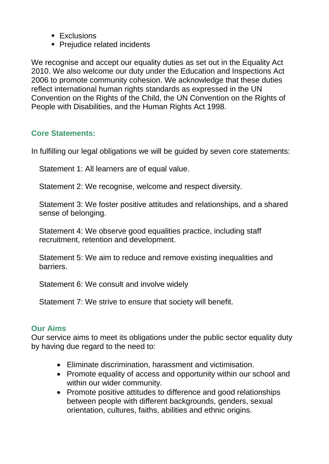- **Exclusions**
- Prejudice related incidents

We recognise and accept our equality duties as set out in the Equality Act 2010. We also welcome our duty under the Education and Inspections Act 2006 to promote community cohesion. We acknowledge that these duties reflect international human rights standards as expressed in the UN Convention on the Rights of the Child, the UN Convention on the Rights of People with Disabilities, and the Human Rights Act 1998.

# **Core Statements:**

In fulfilling our legal obligations we will be guided by seven core statements:

Statement 1: All learners are of equal value.

Statement 2: We recognise, welcome and respect diversity.

Statement 3: We foster positive attitudes and relationships, and a shared sense of belonging.

Statement 4: We observe good equalities practice, including staff recruitment, retention and development.

Statement 5: We aim to reduce and remove existing inequalities and barriers.

Statement 6: We consult and involve widely

Statement 7: We strive to ensure that society will benefit.

## **Our Aims**

Our service aims to meet its obligations under the public sector equality duty by having due regard to the need to:

- Eliminate discrimination, harassment and victimisation.
- Promote equality of access and opportunity within our school and within our wider community.
- Promote positive attitudes to difference and good relationships between people with different backgrounds, genders, sexual orientation, cultures, faiths, abilities and ethnic origins.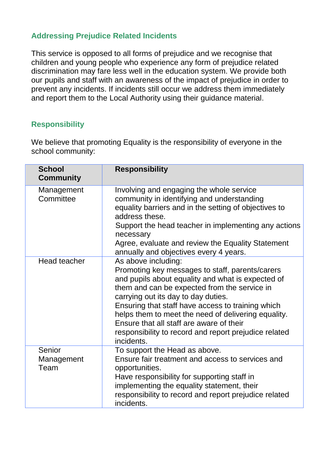# **Addressing Prejudice Related Incidents**

This service is opposed to all forms of prejudice and we recognise that children and young people who experience any form of prejudice related discrimination may fare less well in the education system. We provide both our pupils and staff with an awareness of the impact of prejudice in order to prevent any incidents. If incidents still occur we address them immediately and report them to the Local Authority using their guidance material.

# **Responsibility**

We believe that promoting Equality is the responsibility of everyone in the school community:

| <b>School</b><br><b>Community</b> | <b>Responsibility</b>                                                                                                                                                                                                                                                                                                                                                                                                                             |
|-----------------------------------|---------------------------------------------------------------------------------------------------------------------------------------------------------------------------------------------------------------------------------------------------------------------------------------------------------------------------------------------------------------------------------------------------------------------------------------------------|
| Management<br>Committee           | Involving and engaging the whole service<br>community in identifying and understanding<br>equality barriers and in the setting of objectives to<br>address these.<br>Support the head teacher in implementing any actions<br>necessary<br>Agree, evaluate and review the Equality Statement<br>annually and objectives every 4 years.                                                                                                             |
| Head teacher                      | As above including:<br>Promoting key messages to staff, parents/carers<br>and pupils about equality and what is expected of<br>them and can be expected from the service in<br>carrying out its day to day duties.<br>Ensuring that staff have access to training which<br>helps them to meet the need of delivering equality.<br>Ensure that all staff are aware of their<br>responsibility to record and report prejudice related<br>incidents. |
| Senior<br>Management<br>Team      | To support the Head as above.<br>Ensure fair treatment and access to services and<br>opportunities.<br>Have responsibility for supporting staff in<br>implementing the equality statement, their<br>responsibility to record and report prejudice related<br>incidents.                                                                                                                                                                           |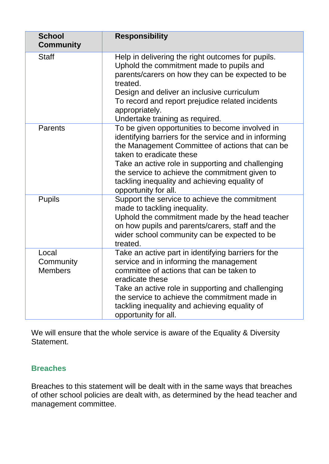| <b>School</b><br><b>Community</b>    | <b>Responsibility</b>                                                                                                                                                                                                                                                                                                                                                   |
|--------------------------------------|-------------------------------------------------------------------------------------------------------------------------------------------------------------------------------------------------------------------------------------------------------------------------------------------------------------------------------------------------------------------------|
| <b>Staff</b>                         | Help in delivering the right outcomes for pupils.<br>Uphold the commitment made to pupils and<br>parents/carers on how they can be expected to be<br>treated.<br>Design and deliver an inclusive curriculum<br>To record and report prejudice related incidents<br>appropriately.<br>Undertake training as required.                                                    |
| <b>Parents</b>                       | To be given opportunities to become involved in<br>identifying barriers for the service and in informing<br>the Management Committee of actions that can be<br>taken to eradicate these<br>Take an active role in supporting and challenging<br>the service to achieve the commitment given to<br>tackling inequality and achieving equality of<br>opportunity for all. |
| <b>Pupils</b>                        | Support the service to achieve the commitment<br>made to tackling inequality.<br>Uphold the commitment made by the head teacher<br>on how pupils and parents/carers, staff and the<br>wider school community can be expected to be<br>treated.                                                                                                                          |
| Local<br>Community<br><b>Members</b> | Take an active part in identifying barriers for the<br>service and in informing the management<br>committee of actions that can be taken to<br>eradicate these<br>Take an active role in supporting and challenging<br>the service to achieve the commitment made in<br>tackling inequality and achieving equality of<br>opportunity for all.                           |

We will ensure that the whole service is aware of the Equality & Diversity Statement.

## **Breaches**

Breaches to this statement will be dealt with in the same ways that breaches of other school policies are dealt with, as determined by the head teacher and management committee.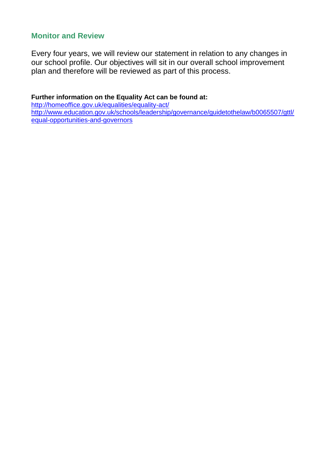#### **Monitor and Review**

Every four years, we will review our statement in relation to any changes in our school profile. Our objectives will sit in our overall school improvement plan and therefore will be reviewed as part of this process.

#### **Further information on the Equality Act can be found at:**

<http://homeoffice.gov.uk/equalities/equality-act/> [http://www.education.gov.uk/schools/leadership/governance/guidetothelaw/b0065507/gttl/](http://www.education.gov.uk/schools/leadership/governance/guidetothelaw/b0065507/gttl/equal-opportunities-and-governors) [equal-opportunities-and-governors](http://www.education.gov.uk/schools/leadership/governance/guidetothelaw/b0065507/gttl/equal-opportunities-and-governors)